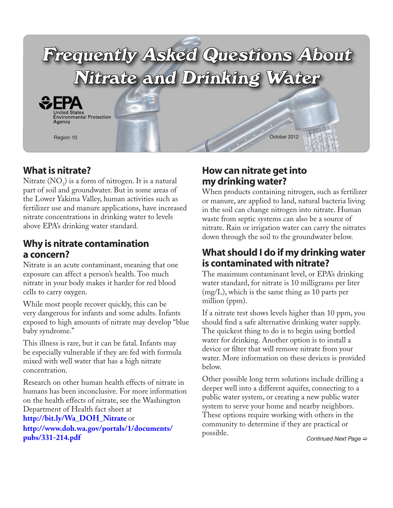

## **What is nitrate?**

Nitrate  $(NO<sub>3</sub>)$  is a form of nitrogen. It is a natural part of soil and groundwater. But in some areas of the Lower Yakima Valley, human activities such as fertilizer use and manure applications, have increased nitrate concentrations in drinking water to levels above EPA's drinking water standard.

#### **Why is nitrate contamination a concern?**

Nitrate is an acute contaminant, meaning that one exposure can affect a person's health. Too much nitrate in your body makes it harder for red blood cells to carry oxygen.

While most people recover quickly, this can be very dangerous for infants and some adults. Infants exposed to high amounts of nitrate may develop "blue baby syndrome."

This illness is rare, but it can be fatal. Infants may be especially vulnerable if they are fed with formula mixed with well water that has a high nitrate concentration.

Research on other human health effects of nitrate in humans has been inconclusive. For more information on the health effects of nitrate, see the Washington Department of Health fact sheet at

**[http://bit.ly/Wa\\_DOH\\_Nitrate](http://bit.ly/Wa_DOH_Nitrate)** or **[http://www.doh.wa.gov/portals/1/documents/](http://www.doh.wa.gov/portals/1/documents/pubs/331-214.pdf) [pubs/331-214.pdf](http://www.doh.wa.gov/portals/1/documents/pubs/331-214.pdf)**

## **How can nitrate get into my drinking water?**

When products containing nitrogen, such as fertilizer or manure, are applied to land, natural bacteria living in the soil can change nitrogen into nitrate. Human waste from septic systems can also be a source of nitrate. Rain or irrigation water can carry the nitrates down through the soil to the groundwater below.

### **What should I do if my drinking water is contaminated with nitrate?**

The maximum contaminant level, or EPA's drinking water standard, for nitrate is 10 milligrams per liter (mg/L), which is the same thing as 10 parts per million (ppm).

If a nitrate test shows levels higher than 10 ppm, you should find a safe alternative drinking water supply. The quickest thing to do is to begin using bottled water for drinking. Another option is to install a device or filter that will remove nitrate from your water. More information on these devices is provided below.

Other possible long term solutions include drilling a deeper well into a different aquifer, connecting to a public water system, or creating a new public water system to serve your home and nearby neighbors. These options require working with others in the community to determine if they are practical or possible. *[Continued Next Page](#page-1-0)*